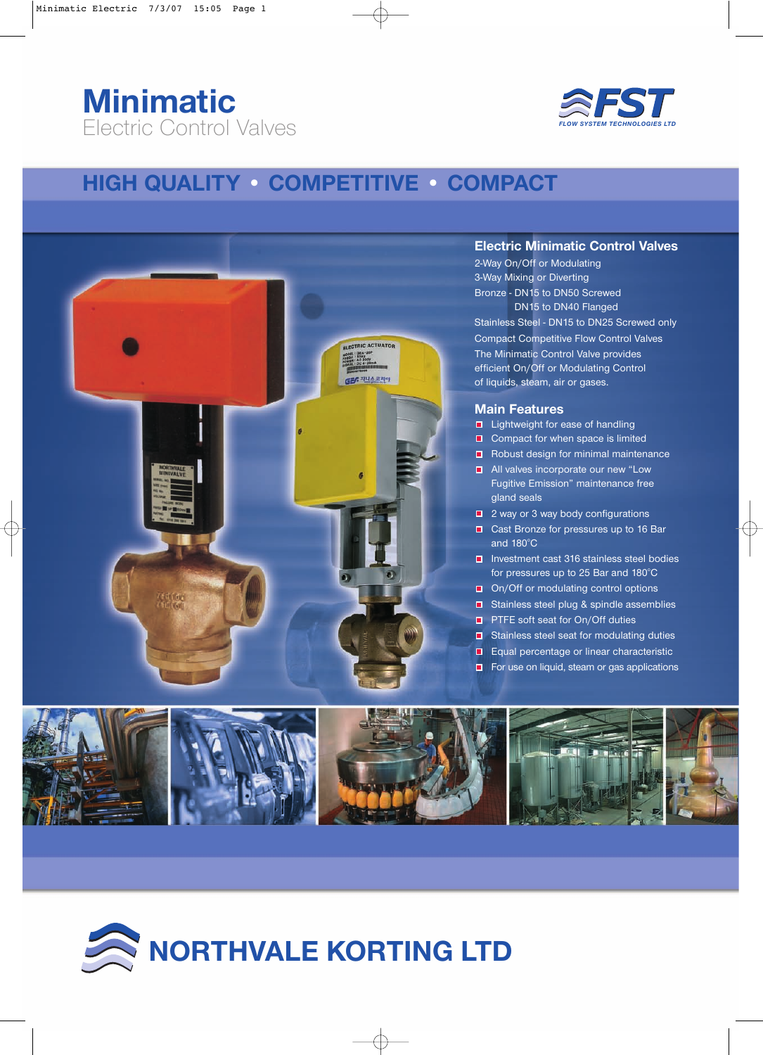## **Minimatic** Electric Control Valves



### **HIGH QUALITY • COMPETITIVE • COMPACT**



### **Electric Minimatic Control Valves**

2-Way On/Off or Modulating 3-Way Mixing or Diverting Bronze - DN15 to DN50 Screwed DN15 to DN40 Flanged Stainless Steel - DN15 to DN25 Screwed only Compact Competitive Flow Control Valves The Minimatic Control Valve provides efficient On/Off or Modulating Control of liquids, steam, air or gases.

#### **Main Features**

- **■** Lightweight for ease of handling
- Compact for when space is limited
- Robust design for minimal maintenance
- **All valves incorporate our new "Low** Fugitive Emission" maintenance free gland seals
- 2 way or 3 way body configurations
- Cast Bronze for pressures up to 16 Bar and  $180^\circ C$
- Investment cast 316 stainless steel bodies for pressures up to 25 Bar and 180°C
- On/Off or modulating control options
- **□** Stainless steel plug & spindle assemblies
- **PTFE soft seat for On/Off duties**
- Stainless steel seat for modulating duties
- Equal percentage or linear characteristic
- For use on liquid, steam or gas applications